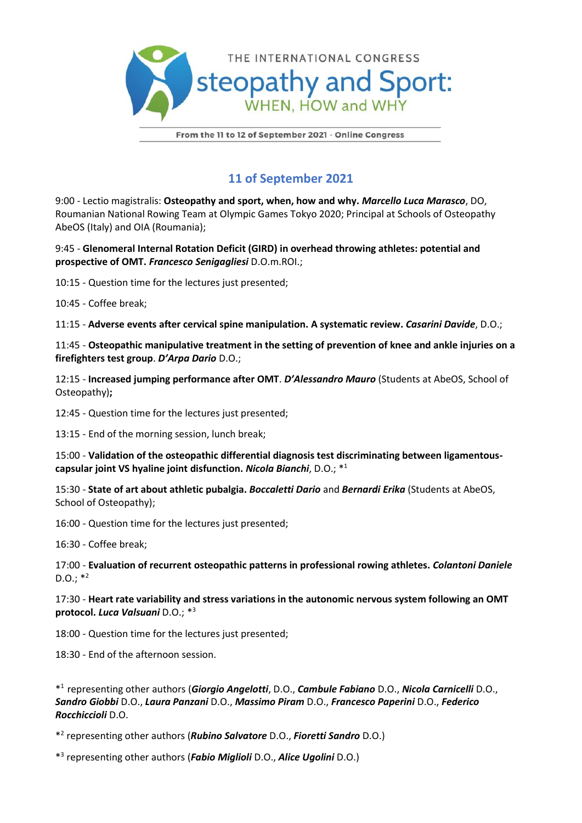

## **11 of September 2021**

9:00 - Lectio magistralis: **Osteopathy and sport, when, how and why.** *Marcello Luca Marasco*, DO, Roumanian National Rowing Team at Olympic Games Tokyo 2020; Principal at Schools of Osteopathy AbeOS (Italy) and OIA (Roumania);

9:45 - **Glenomeral Internal Rotation Deficit (GIRD) in overhead throwing athletes: potential and prospective of OMT.** *Francesco Senigagliesi* D.O.m.ROI.;

10:15 - Question time for the lectures just presented;

10:45 - Coffee break;

11:15 - **Adverse events after cervical spine manipulation. A systematic review.** *Casarini Davide*, D.O.;

11:45 - **Osteopathic manipulative treatment in the setting of prevention of knee and ankle injuries on a firefighters test group**. *D'Arpa Dario* D.O.;

12:15 - **Increased jumping performance after OMT**. *D'Alessandro Mauro* (Students at AbeOS, School of Osteopathy)**;**

12:45 - Question time for the lectures just presented;

13:15 - End of the morning session, lunch break;

15:00 - **Validation of the osteopathic differential diagnosis test discriminating between ligamentouscapsular joint VS hyaline joint disfunction.** *Nicola Bianchi*, D.O.; \* 1

15:30 - **State of art about athletic pubalgia.** *Boccaletti Dario* and *Bernardi Erika* (Students at AbeOS, School of Osteopathy);

16:00 - Question time for the lectures just presented;

16:30 - Coffee break;

17:00 - **Evaluation of recurrent osteopathic patterns in professional rowing athletes.** *Colantoni Daniele*  $D.O.; *<sup>2</sup>$ 

17:30 - **Heart rate variability and stress variations in the autonomic nervous system following an OMT protocol.** *Luca Valsuani* D.O.; \* 3

18:00 - Question time for the lectures just presented;

18:30 - End of the afternoon session.

\* 1 representing other authors (*Giorgio Angelotti*, D.O., *Cambule Fabiano* D.O., *Nicola Carnicelli* D.O., *Sandro Giobbi* D.O., *Laura Panzani* D.O., *Massimo Piram* D.O., *Francesco Paperini* D.O., *Federico Rocchiccioli* D.O.

\* 2 representing other authors (*Rubino Salvatore* D.O., *Fioretti Sandro* D.O.)

\* 3 representing other authors (*Fabio Miglioli* D.O., *Alice Ugolini* D.O.)